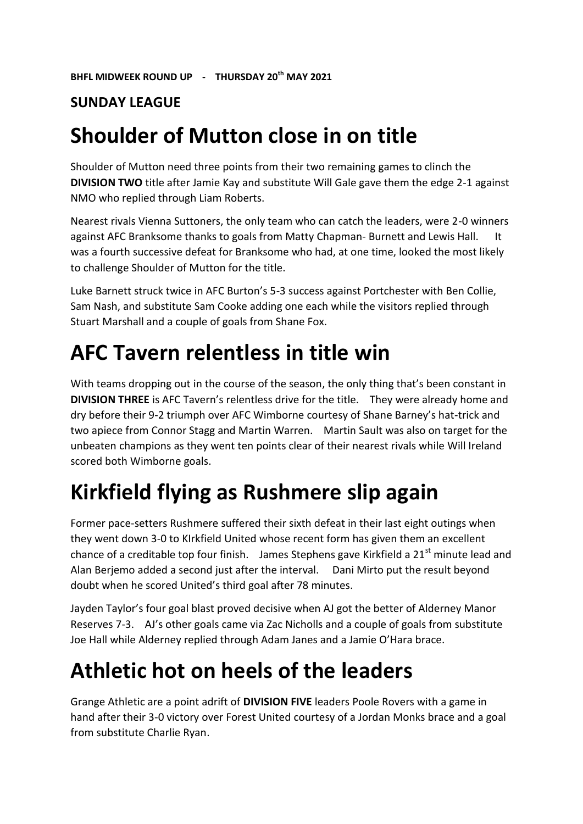#### **SUNDAY LEAGUE**

#### **Shoulder of Mutton close in on title**

Shoulder of Mutton need three points from their two remaining games to clinch the **DIVISION TWO** title after Jamie Kay and substitute Will Gale gave them the edge 2-1 against NMO who replied through Liam Roberts.

Nearest rivals Vienna Suttoners, the only team who can catch the leaders, were 2-0 winners against AFC Branksome thanks to goals from Matty Chapman- Burnett and Lewis Hall. It was a fourth successive defeat for Branksome who had, at one time, looked the most likely to challenge Shoulder of Mutton for the title.

Luke Barnett struck twice in AFC Burton's 5-3 success against Portchester with Ben Collie, Sam Nash, and substitute Sam Cooke adding one each while the visitors replied through Stuart Marshall and a couple of goals from Shane Fox.

### **AFC Tavern relentless in title win**

With teams dropping out in the course of the season, the only thing that's been constant in **DIVISION THREE** is AFC Tavern's relentless drive for the title. They were already home and dry before their 9-2 triumph over AFC Wimborne courtesy of Shane Barney's hat-trick and two apiece from Connor Stagg and Martin Warren. Martin Sault was also on target for the unbeaten champions as they went ten points clear of their nearest rivals while Will Ireland scored both Wimborne goals.

# **Kirkfield flying as Rushmere slip again**

Former pace-setters Rushmere suffered their sixth defeat in their last eight outings when they went down 3-0 to KIrkfield United whose recent form has given them an excellent chance of a creditable top four finish. James Stephens gave Kirkfield a  $21<sup>st</sup>$  minute lead and Alan Berjemo added a second just after the interval. Dani Mirto put the result beyond doubt when he scored United's third goal after 78 minutes.

Jayden Taylor's four goal blast proved decisive when AJ got the better of Alderney Manor Reserves 7-3. AJ's other goals came via Zac Nicholls and a couple of goals from substitute Joe Hall while Alderney replied through Adam Janes and a Jamie O'Hara brace.

# **Athletic hot on heels of the leaders**

Grange Athletic are a point adrift of **DIVISION FIVE** leaders Poole Rovers with a game in hand after their 3-0 victory over Forest United courtesy of a Jordan Monks brace and a goal from substitute Charlie Ryan.